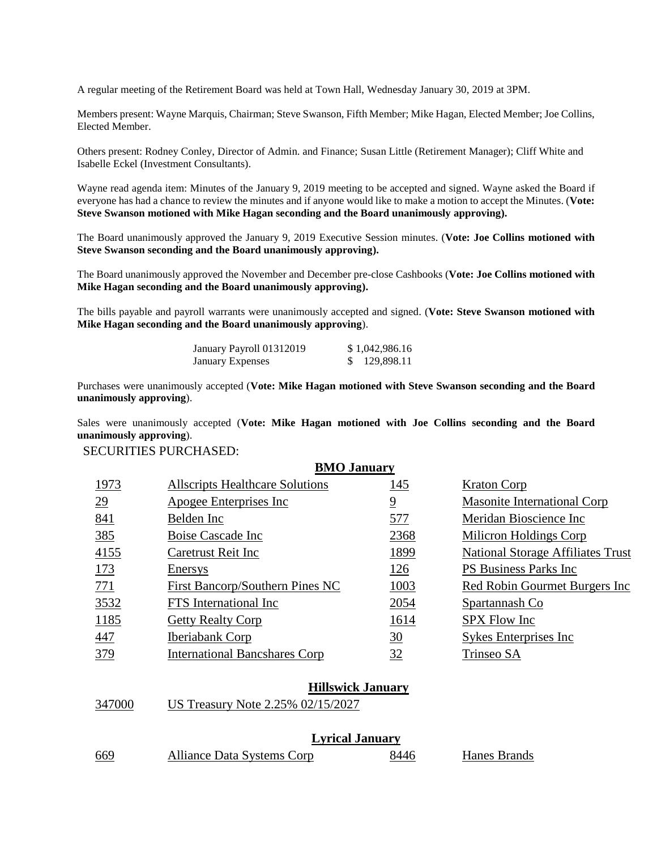A regular meeting of the Retirement Board was held at Town Hall, Wednesday January 30, 2019 at 3PM.

Members present: Wayne Marquis, Chairman; Steve Swanson, Fifth Member; Mike Hagan, Elected Member; Joe Collins, Elected Member.

Others present: Rodney Conley, Director of Admin. and Finance; Susan Little (Retirement Manager); Cliff White and Isabelle Eckel (Investment Consultants).

Wayne read agenda item: Minutes of the January 9, 2019 meeting to be accepted and signed. Wayne asked the Board if everyone has had a chance to review the minutes and if anyone would like to make a motion to accept the Minutes. (**Vote: Steve Swanson motioned with Mike Hagan seconding and the Board unanimously approving).**

The Board unanimously approved the January 9, 2019 Executive Session minutes. (**Vote: Joe Collins motioned with Steve Swanson seconding and the Board unanimously approving).**

The Board unanimously approved the November and December pre-close Cashbooks (**Vote: Joe Collins motioned with Mike Hagan seconding and the Board unanimously approving).**

The bills payable and payroll warrants were unanimously accepted and signed. (**Vote: Steve Swanson motioned with Mike Hagan seconding and the Board unanimously approving**).

| January Payroll 01312019 | \$1,042,986.16 |
|--------------------------|----------------|
| <b>January Expenses</b>  | 129,898.11     |

Purchases were unanimously accepted (**Vote: Mike Hagan motioned with Steve Swanson seconding and the Board unanimously approving**).

Sales were unanimously accepted (**Vote: Mike Hagan motioned with Joe Collins seconding and the Board unanimously approving**).

#### SECURITIES PURCHASED:

| <b>BMO January</b> |                                        |                 |                                          |  |
|--------------------|----------------------------------------|-----------------|------------------------------------------|--|
| 1973               | <b>Allscripts Healthcare Solutions</b> | 145             | <b>Kraton Corp</b>                       |  |
| $\overline{29}$    | Apogee Enterprises Inc                 | $\overline{9}$  | Masonite International Corp              |  |
| 841                | Belden Inc                             | 577             | Meridan Bioscience Inc                   |  |
| 385                | Boise Cascade Inc                      | 2368            | Milicron Holdings Corp                   |  |
| 4155               | Caretrust Reit Inc                     | 1899            | <b>National Storage Affiliates Trust</b> |  |
| <u>173</u>         | Enersys                                | 126             | <b>PS Business Parks Inc.</b>            |  |
| 771                | <b>First Bancorp/Southern Pines NC</b> | 1003            | Red Robin Gourmet Burgers Inc            |  |
| 3532               | FTS International Inc                  | 2054            | Spartannash Co                           |  |
| 1185               | Getty Realty Corp                      | 1614            | SPX Flow Inc                             |  |
| 447                | <b>Iberiabank Corp</b>                 | $\overline{30}$ | <b>Sykes Enterprises Inc.</b>            |  |
| 379                | <b>International Bancshares Corp</b>   | 32              | Trinseo SA                               |  |
|                    |                                        |                 |                                          |  |

## **Hillswick January**

| 347000 | US Treasury Note 2.25% 02/15/2027 |  |
|--------|-----------------------------------|--|
|        |                                   |  |

|     | <b>Lyrical January</b>     |      |              |  |
|-----|----------------------------|------|--------------|--|
| 669 | Alliance Data Systems Corp | 8446 | Hanes Brands |  |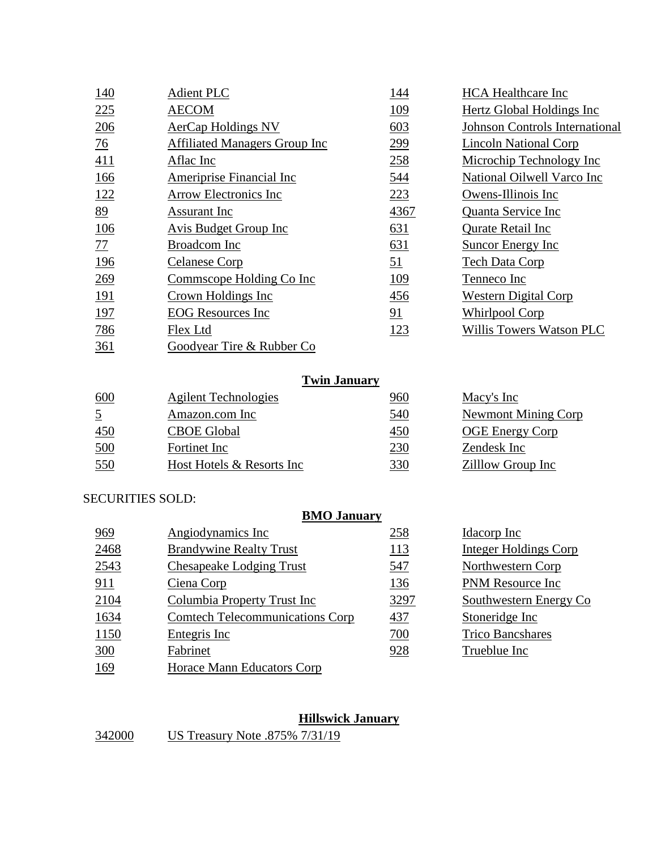| <u>140</u> | <b>Adient PLC</b>                    | 144        |
|------------|--------------------------------------|------------|
| 225        | <b>AECOM</b>                         | 109        |
| 206        | AerCap Holdings NV                   | 603        |
| 76         | <b>Affiliated Managers Group Inc</b> | <u>299</u> |
| 411        | Aflac Inc                            | 258        |
| 166        | Ameriprise Financial Inc             | 544        |
| 122        | Arrow Electronics Inc                | 223        |
| 89         | Assurant Inc                         | 4367       |
| <u>106</u> | Avis Budget Group Inc                | 631        |
| 77         | Broadcom Inc                         | 631        |
| <u>196</u> | Celanese Corp                        | 51         |
| 269        | Commscope Holding Co Inc             | 109        |
| <u>191</u> | Crown Holdings Inc                   | 456        |
| 197        | <b>EOG</b> Resources Inc             | 91         |
| 786        | Flex Ltd                             | 123        |
| 361        | Goodyear Tire & Rubber Co            |            |

# **Twin January**

HCA Healthcare Inc

**Lincoln National Corp** Microchip Technology Inc National Oilwell Varco Inc

Owens-Illinois Inc Quanta Service Inc Qurate Retail Inc Suncor Energy Inc Tech Data Corp Tenneco Inc

**Western Digital Corp** 

Willis Towers Watson PLC

**Whirlpool Corp** 

Hertz Global Holdings Inc Johnson Controls International

| 600               | <b>Agilent Technologies</b> | <u>960</u> | Macy's Inc                 |
|-------------------|-----------------------------|------------|----------------------------|
| $\overline{2}$    | Amazon.com Inc              | <u>540</u> | <b>Newmont Mining Corp</b> |
| $\underline{450}$ | <b>CBOE Global</b>          | <u>450</u> | <b>OGE Energy Corp</b>     |
| $\underline{500}$ | Fortinet Inc                | 230        | Zendesk Inc                |
| <u>550</u>        | Host Hotels & Resorts Inc.  | 330        | Zillow Group Inc           |

### SECURITIES SOLD:

| <b>BMO January</b> |                                        |            |                         |
|--------------------|----------------------------------------|------------|-------------------------|
| $\frac{969}{969}$  | Angiodynamics Inc                      | <u>258</u> | Idacorp Inc             |
| 2468               | <b>Brandywine Realty Trust</b>         | <u>113</u> | Integer Holdings Corp   |
| 2543               | <b>Chesapeake Lodging Trust</b>        | <u>547</u> | Northwestern Corp       |
| 911                | Ciena Corp                             | 136        | PNM Resource Inc        |
| 2104               | Columbia Property Trust Inc            | 3297       | Southwestern Energy Co  |
| 1634               | <b>Comtech Telecommunications Corp</b> | <u>437</u> | Stoneridge Inc          |
| 1150               | Entegris Inc                           | 700        | <b>Trico Bancshares</b> |
| 300                | Fabrinet                               | 928        | Trueblue Inc            |
| <u>169</u>         | Horace Mann Educators Corp             |            |                         |

### **Hillswick January**

342000 US Treasury Note .875% 7/31/19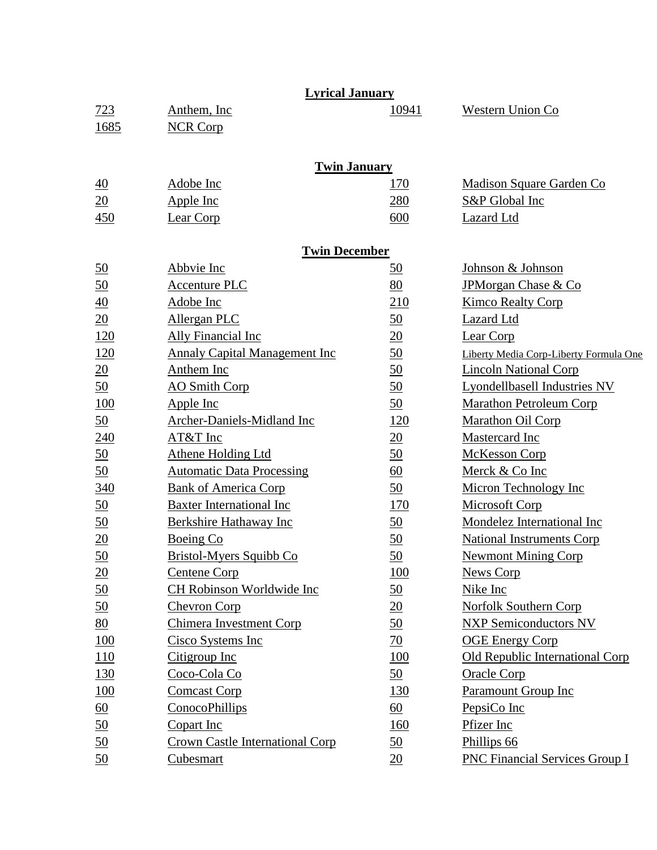| <b>Lyrical January</b> |                                        |                  |                                        |  |
|------------------------|----------------------------------------|------------------|----------------------------------------|--|
| <u>723</u>             | Anthem, Inc.                           | 10941            | Western Union Co                       |  |
| 1685                   | <b>NCR Corp</b>                        |                  |                                        |  |
|                        |                                        |                  |                                        |  |
|                        | <b>Twin January</b>                    |                  |                                        |  |
| $\overline{40}$        | Adobe Inc                              | <u> 170</u>      | <b>Madison Square Garden Co</b>        |  |
| 20                     | Apple Inc                              | 280              | S&P Global Inc                         |  |
| 450                    | Lear Corp                              | 600              | Lazard Ltd                             |  |
|                        |                                        |                  |                                        |  |
|                        | <b>Twin December</b>                   |                  |                                        |  |
| 50                     | Abbyie Inc                             | <u>50</u>        | Johnson & Johnson                      |  |
| 50                     | <b>Accenture PLC</b>                   | 80               | <b>JPMorgan Chase &amp; Co</b>         |  |
| $\underline{40}$       | Adobe Inc                              | 210              | <b>Kimco Realty Corp</b>               |  |
| $\underline{20}$       | Allergan PLC                           | $\underline{50}$ | Lazard Ltd                             |  |
| 120                    | Ally Financial Inc                     | 20               | Lear Corp                              |  |
| <u>120</u>             | <b>Annaly Capital Management Inc</b>   | $\underline{50}$ | Liberty Media Corp-Liberty Formula One |  |
| $\overline{20}$        | Anthem Inc                             | $\underline{50}$ | <b>Lincoln National Corp</b>           |  |
| $\underline{50}$       | <b>AO</b> Smith Corp                   | 50               | <b>Lyondellbasell Industries NV</b>    |  |
| 100                    | Apple Inc                              | 50               | <b>Marathon Petroleum Corp</b>         |  |
| <u>50</u>              | <b>Archer-Daniels-Midland Inc</b>      | 120              | Marathon Oil Corp                      |  |
| 240                    | AT&T Inc                               | $\underline{20}$ | Mastercard Inc                         |  |
| $\underline{50}$       | <b>Athene Holding Ltd</b>              | 50               | <b>McKesson Corp</b>                   |  |
| 50                     | <b>Automatic Data Processing</b>       | 60               | Merck & Co Inc                         |  |
| 340                    | <b>Bank of America Corp</b>            | $\underline{50}$ | Micron Technology Inc                  |  |
| $\underline{50}$       | <b>Baxter International Inc</b>        | 170              | Microsoft Corp                         |  |
| $\underline{50}$       | Berkshire Hathaway Inc                 | $\underline{50}$ | Mondelez International Inc             |  |
| 20                     | Boeing Co                              | 50               | <b>National Instruments Corp</b>       |  |
| 50                     | Bristol-Myers Squibb Co                | 50               | <b>Newmont Mining Corp</b>             |  |
| $\underline{20}$       | Centene Corp                           | 100              | <b>News Corp</b>                       |  |
| $\underline{50}$       | CH Robinson Worldwide Inc              | 50               | Nike Inc                               |  |
| 50                     | <b>Chevron Corp</b>                    | 20               | <b>Norfolk Southern Corp</b>           |  |
| 80                     | <b>Chimera Investment Corp</b>         | $\underline{50}$ | <b>NXP Semiconductors NV</b>           |  |
| 100                    | Cisco Systems Inc                      | 70               | <b>OGE Energy Corp</b>                 |  |
| 110                    | Citigroup Inc                          | <u>100</u>       | Old Republic International Corp        |  |
| <b>130</b>             | Coco-Cola Co                           | 50               | <b>Oracle Corp</b>                     |  |
| 100                    | <b>Comcast Corp</b>                    | <u>130</u>       | Paramount Group Inc                    |  |
| $\underline{60}$       | ConocoPhillips                         | $\underline{60}$ | PepsiCo Inc                            |  |
| $\underline{50}$       | Copart Inc                             | 160              | Pfizer Inc                             |  |
| $\underline{50}$       | <b>Crown Castle International Corp</b> | <u>50</u>        | Phillips 66                            |  |
| $\underline{50}$       | Cubesmart                              | 20               | PNC Financial Services Group I         |  |
|                        |                                        |                  |                                        |  |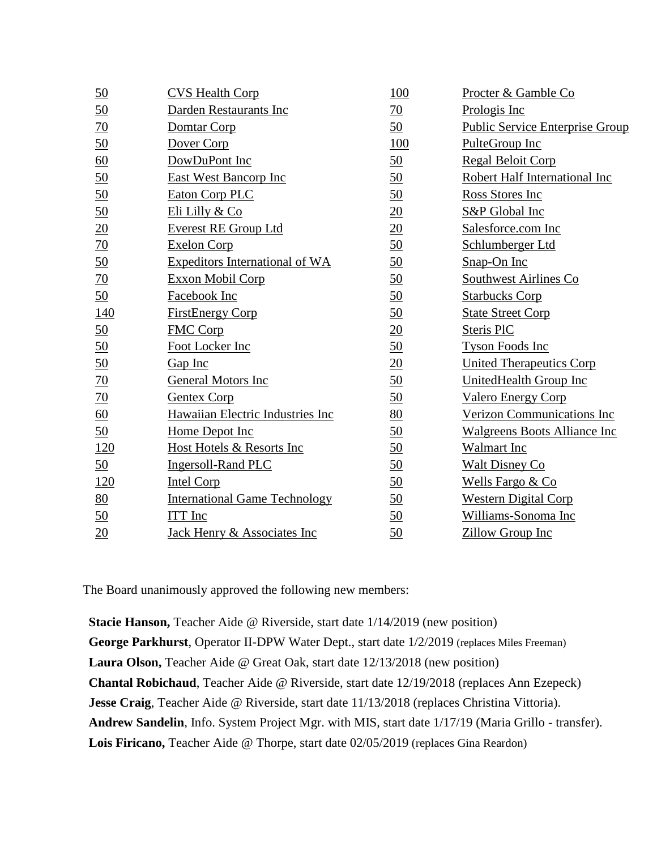| $\underline{50}$ | <b>CVS Health Corp</b>               | 100              | Procter & Gamble Co                 |
|------------------|--------------------------------------|------------------|-------------------------------------|
| $\underline{50}$ | Darden Restaurants Inc               | 70               | Prologis Inc                        |
| $\frac{70}{2}$   | Domtar Corp                          | $\underline{50}$ | Public Service Enterprise Group     |
| $\underline{50}$ | Dover Corp                           | 100              | PulteGroup Inc                      |
| $\underline{60}$ | DowDuPont Inc                        | $\underline{50}$ | <b>Regal Beloit Corp</b>            |
| $\underline{50}$ | East West Bancorp Inc                | $\underline{50}$ | Robert Half International Inc       |
| $\underline{50}$ | Eaton Corp PLC                       | $\underline{50}$ | Ross Stores Inc                     |
| $\underline{50}$ | Eli Lilly & Co                       | $\overline{20}$  | <b>S&amp;P</b> Global Inc           |
| $\frac{20}{2}$   | <b>Everest RE Group Ltd</b>          | $\frac{20}{2}$   | Salesforce.com Inc                  |
| $\frac{70}{2}$   | <b>Exelon Corp</b>                   | $\underline{50}$ | Schlumberger Ltd                    |
| 50               | Expeditors International of WA       | $\underline{50}$ | Snap-On Inc                         |
| $\frac{70}{2}$   | <b>Exxon Mobil Corp</b>              | $\underline{50}$ | <b>Southwest Airlines Co</b>        |
| 50               | Facebook Inc                         | $\underline{50}$ | <b>Starbucks Corp</b>               |
| <u>140</u>       | <b>FirstEnergy Corp</b>              | $\underline{50}$ | <b>State Street Corp</b>            |
| $\underline{50}$ | <b>FMC Corp</b>                      | $\overline{20}$  | <b>Steris PIC</b>                   |
| $\underline{50}$ | Foot Locker Inc                      | $\underline{50}$ | <b>Tyson Foods Inc</b>              |
| $\underline{50}$ | Gap Inc                              | $\overline{20}$  | <b>United Therapeutics Corp</b>     |
| $\overline{20}$  | General Motors Inc                   | $\underline{50}$ | UnitedHealth Group Inc              |
| $\overline{70}$  | <b>Gentex Corp</b>                   | $\underline{50}$ | <b>Valero Energy Corp</b>           |
| 60               | Hawaiian Electric Industries Inc     | 80               | Verizon Communications Inc          |
| 50               | Home Depot Inc                       | $\underline{50}$ | <b>Walgreens Boots Alliance Inc</b> |
| <u>120</u>       | Host Hotels & Resorts Inc            | $\underline{50}$ | Walmart Inc                         |
| 50               | <b>Ingersoll-Rand PLC</b>            | $\underline{50}$ | <b>Walt Disney Co</b>               |
| <u>120</u>       | <b>Intel Corp</b>                    | $\underline{50}$ | Wells Fargo & Co                    |
| 80               | <b>International Game Technology</b> | $\underline{50}$ | <b>Western Digital Corp</b>         |
| $\underline{50}$ | <b>ITT</b> Inc                       | 50               | Williams-Sonoma Inc                 |
| $\overline{20}$  | Jack Henry & Associates Inc          | $\underline{50}$ | Zillow Group Inc                    |

The Board unanimously approved the following new members:

**Stacie Hanson,** Teacher Aide @ Riverside, start date 1/14/2019 (new position) **George Parkhurst**, Operator II-DPW Water Dept., start date 1/2/2019 (replaces Miles Freeman) **Laura Olson,** Teacher Aide @ Great Oak, start date 12/13/2018 (new position) **Chantal Robichaud**, Teacher Aide @ Riverside, start date 12/19/2018 (replaces Ann Ezepeck) **Jesse Craig**, Teacher Aide @ Riverside, start date 11/13/2018 (replaces Christina Vittoria). **Andrew Sandelin**, Info. System Project Mgr. with MIS, start date 1/17/19 (Maria Grillo - transfer). **Lois Firicano,** Teacher Aide @ Thorpe, start date 02/05/2019 (replaces Gina Reardon)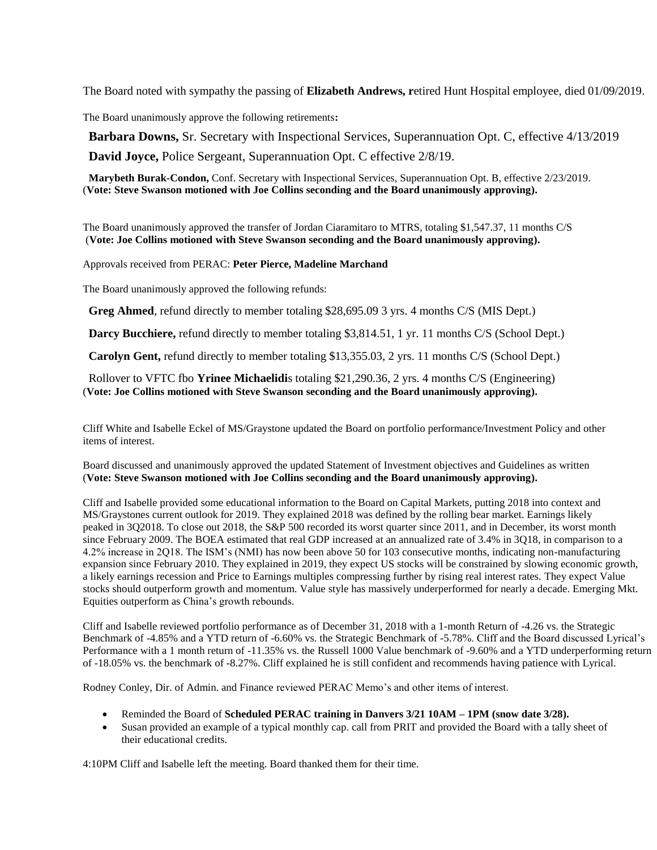The Board noted with sympathy the passing of **Elizabeth Andrews, r**etired Hunt Hospital employee, died 01/09/2019.

The Board unanimously approve the following retirements**:** 

**Barbara Downs,** Sr. Secretary with Inspectional Services, Superannuation Opt. C, effective 4/13/2019

**David Joyce,** Police Sergeant, Superannuation Opt. C effective 2/8/19.

**Marybeth Burak-Condon,** Conf. Secretary with Inspectional Services, Superannuation Opt. B, effective 2/23/2019. (**Vote: Steve Swanson motioned with Joe Collins seconding and the Board unanimously approving).**

The Board unanimously approved the transfer of Jordan Ciaramitaro to MTRS, totaling \$1,547.37, 11 months C/S (**Vote: Joe Collins motioned with Steve Swanson seconding and the Board unanimously approving).**

Approvals received from PERAC: **Peter Pierce, Madeline Marchand**

The Board unanimously approved the following refunds:

**Greg Ahmed**, refund directly to member totaling \$28,695.09 3 yrs. 4 months C/S (MIS Dept.)

**Darcy Bucchiere,** refund directly to member totaling \$3,814.51, 1 yr. 11 months C/S (School Dept.)

**Carolyn Gent,** refund directly to member totaling \$13,355.03, 2 yrs. 11 months C/S (School Dept.)

Rollover to VFTC fbo **Yrinee Michaelidi**s totaling \$21,290.36, 2 yrs. 4 months C/S (Engineering) (**Vote: Joe Collins motioned with Steve Swanson seconding and the Board unanimously approving).**

Cliff White and Isabelle Eckel of MS/Graystone updated the Board on portfolio performance/Investment Policy and other items of interest.

Board discussed and unanimously approved the updated Statement of Investment objectives and Guidelines as written (**Vote: Steve Swanson motioned with Joe Collins seconding and the Board unanimously approving).**

Cliff and Isabelle provided some educational information to the Board on Capital Markets, putting 2018 into context and MS/Graystones current outlook for 2019. They explained 2018 was defined by the rolling bear market. Earnings likely peaked in 3Q2018. To close out 2018, the S&P 500 recorded its worst quarter since 2011, and in December, its worst month since February 2009. The BOEA estimated that real GDP increased at an annualized rate of 3.4% in 3Q18, in comparison to a 4.2% increase in 2Q18. The ISM's (NMI) has now been above 50 for 103 consecutive months, indicating non-manufacturing expansion since February 2010. They explained in 2019, they expect US stocks will be constrained by slowing economic growth, a likely earnings recession and Price to Earnings multiples compressing further by rising real interest rates. They expect Value stocks should outperform growth and momentum. Value style has massively underperformed for nearly a decade. Emerging Mkt. Equities outperform as China's growth rebounds.

Cliff and Isabelle reviewed portfolio performance as of December 31, 2018 with a 1-month Return of -4.26 vs. the Strategic Benchmark of -4.85% and a YTD return of -6.60% vs. the Strategic Benchmark of -5.78%. Cliff and the Board discussed Lyrical's Performance with a 1 month return of -11.35% vs. the Russell 1000 Value benchmark of -9.60% and a YTD underperforming return of -18.05% vs. the benchmark of -8.27%. Cliff explained he is still confident and recommends having patience with Lyrical.

Rodney Conley, Dir. of Admin. and Finance reviewed PERAC Memo's and other items of interest.

- Reminded the Board of **Scheduled PERAC training in Danvers 3/21 10AM – 1PM (snow date 3/28).**
- Susan provided an example of a typical monthly cap. call from PRIT and provided the Board with a tally sheet of their educational credits.

4:10PM Cliff and Isabelle left the meeting. Board thanked them for their time.